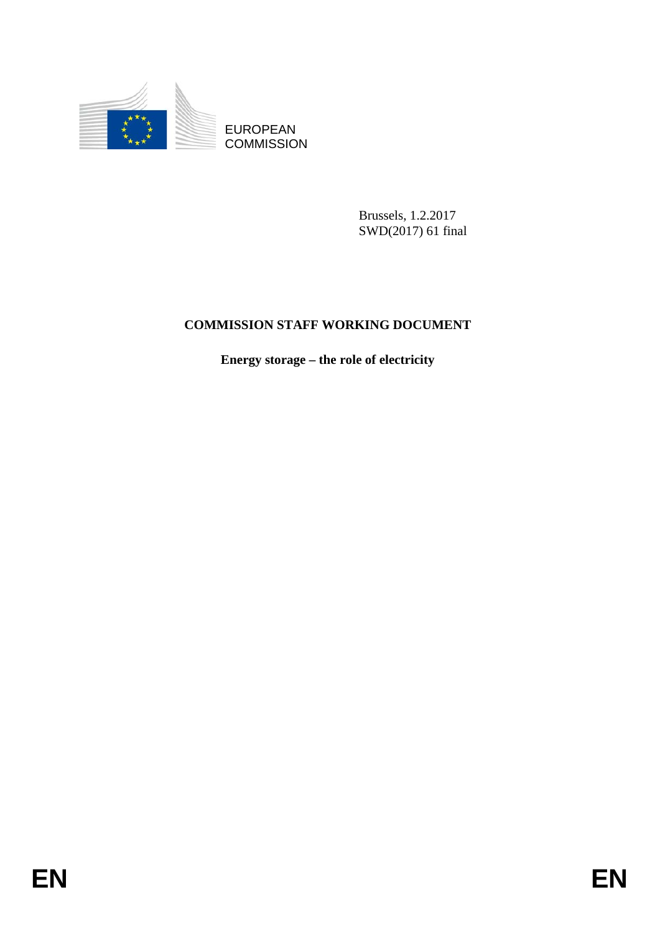

EUROPEAN **COMMISSION** 

> Brussels, 1.2.2017 SWD(2017) 61 final

# **COMMISSION STAFF WORKING DOCUMENT**

**Energy storage – the role of electricity**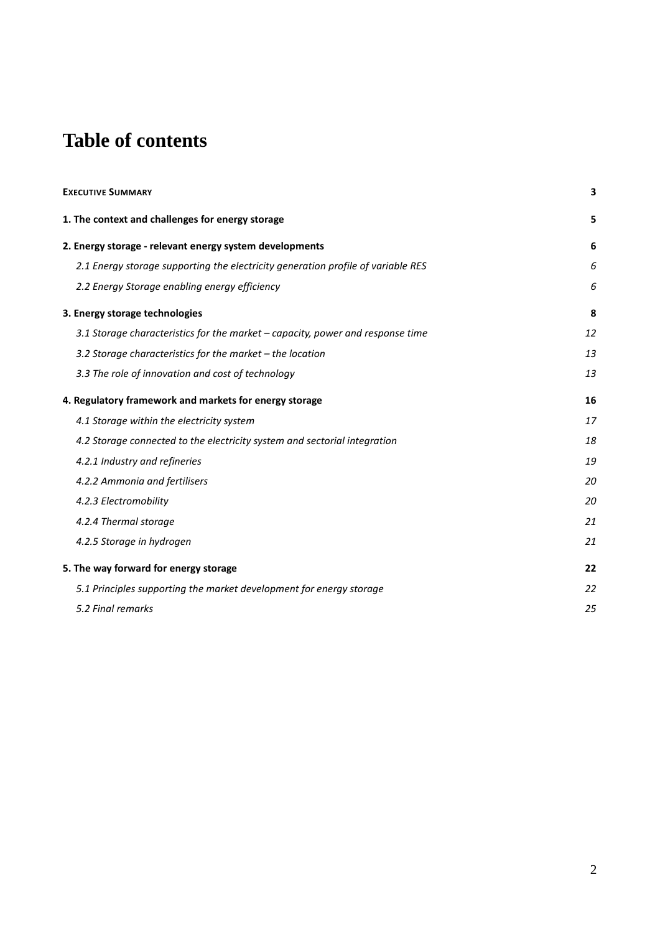# **Table of contents**

| <b>EXECUTIVE SUMMARY</b>                                                         | 3  |  |
|----------------------------------------------------------------------------------|----|--|
| 1. The context and challenges for energy storage                                 | 5  |  |
| 2. Energy storage - relevant energy system developments                          | 6  |  |
| 2.1 Energy storage supporting the electricity generation profile of variable RES | 6  |  |
| 2.2 Energy Storage enabling energy efficiency                                    | 6  |  |
| 3. Energy storage technologies                                                   | 8  |  |
| 3.1 Storage characteristics for the market - capacity, power and response time   | 12 |  |
| 3.2 Storage characteristics for the market - the location                        | 13 |  |
| 3.3 The role of innovation and cost of technology                                | 13 |  |
| 4. Regulatory framework and markets for energy storage                           | 16 |  |
| 4.1 Storage within the electricity system                                        | 17 |  |
| 4.2 Storage connected to the electricity system and sectorial integration        | 18 |  |
| 4.2.1 Industry and refineries                                                    | 19 |  |
| 4.2.2 Ammonia and fertilisers                                                    | 20 |  |
| 4.2.3 Electromobility                                                            | 20 |  |
| 4.2.4 Thermal storage                                                            | 21 |  |
| 4.2.5 Storage in hydrogen                                                        | 21 |  |
| 5. The way forward for energy storage                                            | 22 |  |
| 5.1 Principles supporting the market development for energy storage              | 22 |  |
| 5.2 Final remarks                                                                | 25 |  |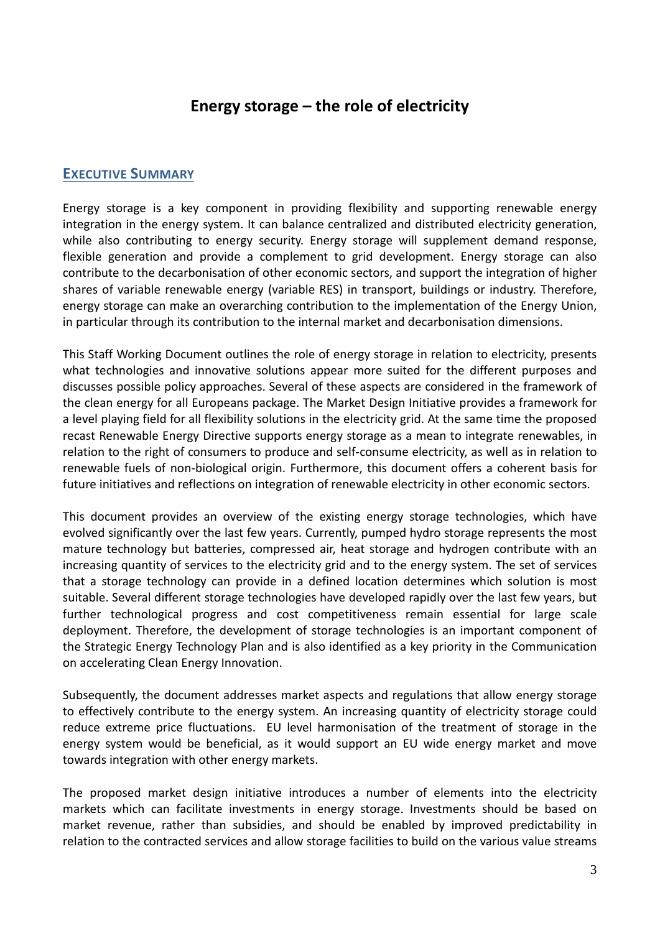# **Energy storage – the role of electricity**

#### **EXECUTIVE SUMMARY**

Energy storage is a key component in providing flexibility and supporting renewable energy integration in the energy system. It can balance centralized and distributed electricity generation, while also contributing to energy security. Energy storage will supplement demand response, flexible generation and provide a complement to grid development. Energy storage can also contribute to the decarbonisation of other economic sectors, and support the integration of higher shares of variable renewable energy (variable RES) in transport, buildings or industry. Therefore, energy storage can make an overarching contribution to the implementation of the Energy Union, in particular through its contribution to the internal market and decarbonisation dimensions.

This Staff Working Document outlines the role of energy storage in relation to electricity, presents what technologies and innovative solutions appear more suited for the different purposes and discusses possible policy approaches. Several of these aspects are considered in the framework of the clean energy for all Europeans package. The Market Design Initiative provides a framework for a level playing field for all flexibility solutions in the electricity grid. At the same time the proposed recast Renewable Energy Directive supports energy storage as a mean to integrate renewables, in relation to the right of consumers to produce and self-consume electricity, as well as in relation to renewable fuels of non-biological origin. Furthermore, this document offers a coherent basis for future initiatives and reflections on integration of renewable electricity in other economic sectors.

This document provides an overview of the existing energy storage technologies, which have evolved significantly over the last few years. Currently, pumped hydro storage represents the most mature technology but batteries, compressed air, heat storage and hydrogen contribute with an increasing quantity of services to the electricity grid and to the energy system. The set of services that a storage technology can provide in a defined location determines which solution is most suitable. Several different storage technologies have developed rapidly over the last few years, but further technological progress and cost competitiveness remain essential for large scale deployment. Therefore, the development of storage technologies is an important component of the Strategic Energy Technology Plan and is also identified as a key priority in the Communication on accelerating Clean Energy Innovation.

Subsequently, the document addresses market aspects and regulations that allow energy storage to effectively contribute to the energy system. An increasing quantity of electricity storage could reduce extreme price fluctuations. EU level harmonisation of the treatment of storage in the energy system would be beneficial, as it would support an EU wide energy market and move towards integration with other energy markets.

The proposed market design initiative introduces a number of elements into the electricity markets which can facilitate investments in energy storage. Investments should be based on market revenue, rather than subsidies, and should be enabled by improved predictability in relation to the contracted services and allow storage facilities to build on the various value streams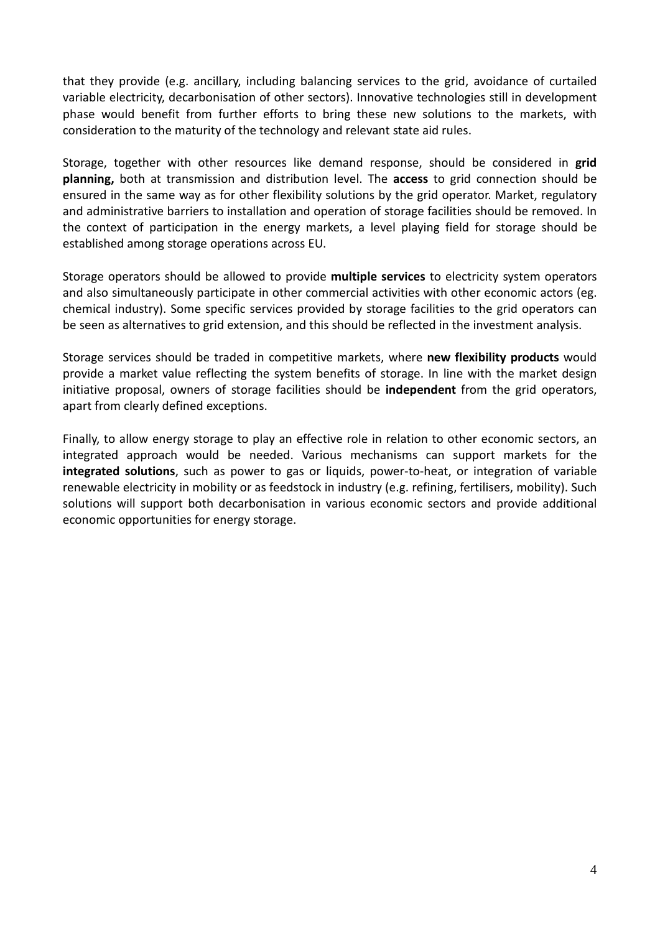that they provide (e.g. ancillary, including balancing services to the grid, avoidance of curtailed variable electricity, decarbonisation of other sectors). Innovative technologies still in development phase would benefit from further efforts to bring these new solutions to the markets, with consideration to the maturity of the technology and relevant state aid rules.

Storage, together with other resources like demand response, should be considered in **grid planning,** both at transmission and distribution level. The **access** to grid connection should be ensured in the same way as for other flexibility solutions by the grid operator. Market, regulatory and administrative barriers to installation and operation of storage facilities should be removed. In the context of participation in the energy markets, a level playing field for storage should be established among storage operations across EU.

Storage operators should be allowed to provide **multiple services** to electricity system operators and also simultaneously participate in other commercial activities with other economic actors (eg. chemical industry). Some specific services provided by storage facilities to the grid operators can be seen as alternatives to grid extension, and this should be reflected in the investment analysis.

Storage services should be traded in competitive markets, where **new flexibility products** would provide a market value reflecting the system benefits of storage. In line with the market design initiative proposal, owners of storage facilities should be **independent** from the grid operators, apart from clearly defined exceptions.

Finally, to allow energy storage to play an effective role in relation to other economic sectors, an integrated approach would be needed. Various mechanisms can support markets for the **integrated solutions**, such as power to gas or liquids, power-to-heat, or integration of variable renewable electricity in mobility or as feedstock in industry (e.g. refining, fertilisers, mobility). Such solutions will support both decarbonisation in various economic sectors and provide additional economic opportunities for energy storage.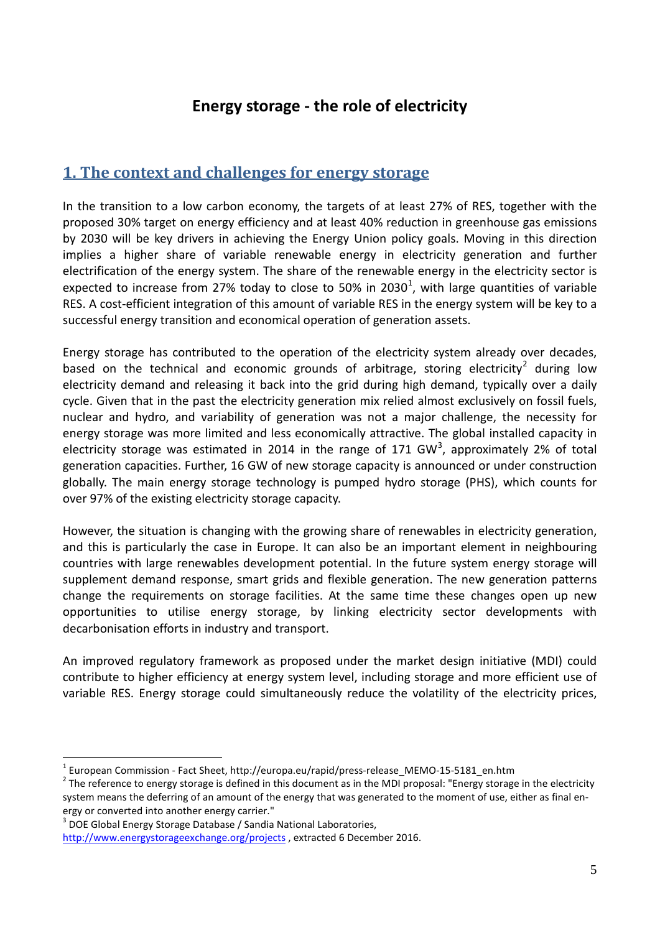# **Energy storage - the role of electricity**

# **1. The context and challenges for energy storage**

In the transition to a low carbon economy, the targets of at least 27% of RES, together with the proposed 30% target on energy efficiency and at least 40% reduction in greenhouse gas emissions by 2030 will be key drivers in achieving the Energy Union policy goals. Moving in this direction implies a higher share of variable renewable energy in electricity generation and further electrification of the energy system. The share of the renewable energy in the electricity sector is expected to increase from 27% today to close to 50% in 2030<sup>[1](#page-4-0)</sup>, with large quantities of variable RES. A cost-efficient integration of this amount of variable RES in the energy system will be key to a successful energy transition and economical operation of generation assets.

Energy storage has contributed to the operation of the electricity system already over decades, based on the technical and economic grounds of arbitrage, storing electricity<sup>[2](#page-4-1)</sup> during low electricity demand and releasing it back into the grid during high demand, typically over a daily cycle. Given that in the past the electricity generation mix relied almost exclusively on fossil fuels, nuclear and hydro, and variability of generation was not a major challenge, the necessity for energy storage was more limited and less economically attractive. The global installed capacity in electricity storage was estimated in 2014 in the range of 171 GW<sup>[3](#page-4-2)</sup>, approximately 2% of total generation capacities. Further, 16 GW of new storage capacity is announced or under construction globally. The main energy storage technology is pumped hydro storage (PHS), which counts for over 97% of the existing electricity storage capacity.

However, the situation is changing with the growing share of renewables in electricity generation, and this is particularly the case in Europe. It can also be an important element in neighbouring countries with large renewables development potential. In the future system energy storage will supplement demand response, smart grids and flexible generation. The new generation patterns change the requirements on storage facilities. At the same time these changes open up new opportunities to utilise energy storage, by linking electricity sector developments with decarbonisation efforts in industry and transport.

An improved regulatory framework as proposed under the market design initiative (MDI) could contribute to higher efficiency at energy system level, including storage and more efficient use of variable RES. Energy storage could simultaneously reduce the volatility of the electricity prices,

<span id="page-4-1"></span><span id="page-4-0"></span>

<sup>&</sup>lt;sup>1</sup> European Commission - Fact Sheet, http://europa.eu/rapid/press-release\_MEMO-15-5181\_en.htm<br><sup>2</sup> The reference to energy storage is defined in this document as in the MDI proposal: "Energy storage in the electricity system means the deferring of an amount of the energy that was generated to the moment of use, either as final energy or converted into another energy carrier."

<span id="page-4-2"></span><sup>&</sup>lt;sup>3</sup> DOE Global Energy Storage Database / Sandia National Laboratories,

<http://www.energystorageexchange.org/projects> , extracted 6 December 2016.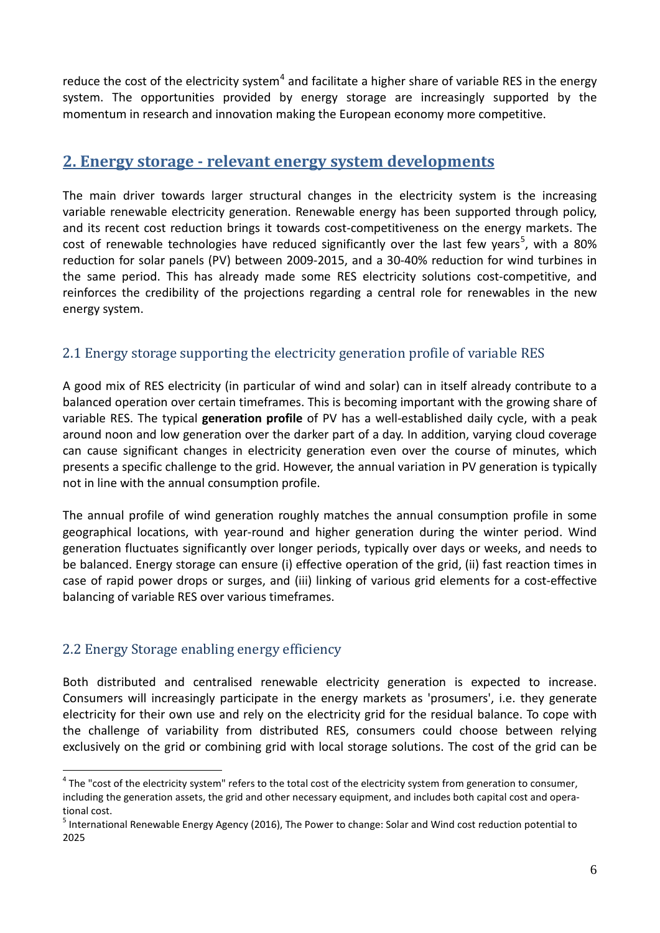reduce the cost of the electricity system<sup>[4](#page-5-0)</sup> and facilitate a higher share of variable RES in the energy system. The opportunities provided by energy storage are increasingly supported by the momentum in research and innovation making the European economy more competitive.

# **2. Energy storage - relevant energy system developments**

The main driver towards larger structural changes in the electricity system is the increasing variable renewable electricity generation. Renewable energy has been supported through policy, and its recent cost reduction brings it towards cost-competitiveness on the energy markets. The cost of renewable technologies have reduced significantly over the last few years<sup>[5](#page-5-1)</sup>, with a 80% reduction for solar panels (PV) between 2009-2015, and a 30-40% reduction for wind turbines in the same period. This has already made some RES electricity solutions cost-competitive, and reinforces the credibility of the projections regarding a central role for renewables in the new energy system.

# 2.1 Energy storage supporting the electricity generation profile of variable RES

A good mix of RES electricity (in particular of wind and solar) can in itself already contribute to a balanced operation over certain timeframes. This is becoming important with the growing share of variable RES. The typical **generation profile** of PV has a well-established daily cycle, with a peak around noon and low generation over the darker part of a day. In addition, varying cloud coverage can cause significant changes in electricity generation even over the course of minutes, which presents a specific challenge to the grid. However, the annual variation in PV generation is typically not in line with the annual consumption profile.

The annual profile of wind generation roughly matches the annual consumption profile in some geographical locations, with year-round and higher generation during the winter period. Wind generation fluctuates significantly over longer periods, typically over days or weeks, and needs to be balanced. Energy storage can ensure (i) effective operation of the grid, (ii) fast reaction times in case of rapid power drops or surges, and (iii) linking of various grid elements for a cost-effective balancing of variable RES over various timeframes.

# 2.2 Energy Storage enabling energy efficiency

Both distributed and centralised renewable electricity generation is expected to increase. Consumers will increasingly participate in the energy markets as 'prosumers', i.e. they generate electricity for their own use and rely on the electricity grid for the residual balance. To cope with the challenge of variability from distributed RES, consumers could choose between relying exclusively on the grid or combining grid with local storage solutions. The cost of the grid can be

<span id="page-5-0"></span> $4$  The "cost of the electricity system" refers to the total cost of the electricity system from generation to consumer, including the generation assets, the grid and other necessary equipment, and includes both capital cost and opera-

<span id="page-5-1"></span>tional cost.<br><sup>5</sup> International Renewable Energy Agency (2016), The Power to change: Solar and Wind cost reduction potential to 2025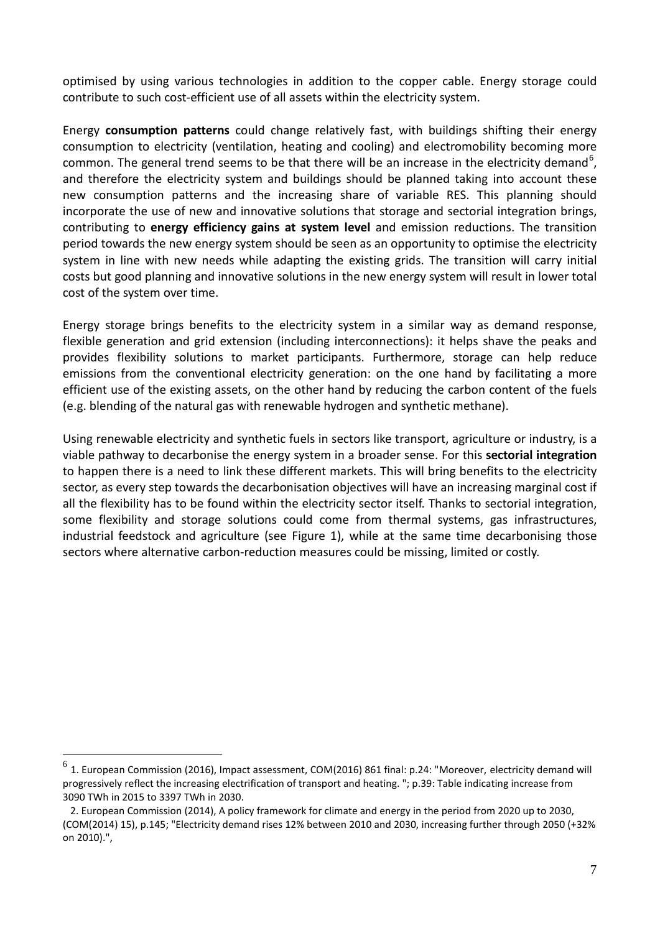optimised by using various technologies in addition to the copper cable. Energy storage could contribute to such cost-efficient use of all assets within the electricity system.

Energy **consumption patterns** could change relatively fast, with buildings shifting their energy consumption to electricity (ventilation, heating and cooling) and electromobility becoming more common. The general trend seems to be that there will be an increase in the electricity demand<sup>[6](#page-6-0)</sup>, and therefore the electricity system and buildings should be planned taking into account these new consumption patterns and the increasing share of variable RES. This planning should incorporate the use of new and innovative solutions that storage and sectorial integration brings, contributing to **energy efficiency gains at system level** and emission reductions. The transition period towards the new energy system should be seen as an opportunity to optimise the electricity system in line with new needs while adapting the existing grids. The transition will carry initial costs but good planning and innovative solutions in the new energy system will result in lower total cost of the system over time.

Energy storage brings benefits to the electricity system in a similar way as demand response, flexible generation and grid extension (including interconnections): it helps shave the peaks and provides flexibility solutions to market participants. Furthermore, storage can help reduce emissions from the conventional electricity generation: on the one hand by facilitating a more efficient use of the existing assets, on the other hand by reducing the carbon content of the fuels (e.g. blending of the natural gas with renewable hydrogen and synthetic methane).

Using renewable electricity and synthetic fuels in sectors like transport, agriculture or industry, is a viable pathway to decarbonise the energy system in a broader sense. For this **sectorial integration** to happen there is a need to link these different markets. This will bring benefits to the electricity sector, as every step towards the decarbonisation objectives will have an increasing marginal cost if all the flexibility has to be found within the electricity sector itself. Thanks to sectorial integration, some flexibility and storage solutions could come from thermal systems, gas infrastructures, industrial feedstock and agriculture (see Figure 1), while at the same time decarbonising those sectors where alternative carbon-reduction measures could be missing, limited or costly.

<span id="page-6-0"></span> $^6$  1. European Commission (2016), Impact assessment, COM(2016) 861 final: p.24: "Moreover, electricity demand will progressively reflect the increasing electrification of transport and heating. "; p.39: Table indicating increase from 3090 TWh in 2015 to 3397 TWh in 2030.

 <sup>2.</sup> European Commission (2014), A policy framework for climate and energy in the period from 2020 up to 2030, (COM(2014) 15), p.145; "Electricity demand rises 12% between 2010 and 2030, increasing further through 2050 (+32% on 2010).",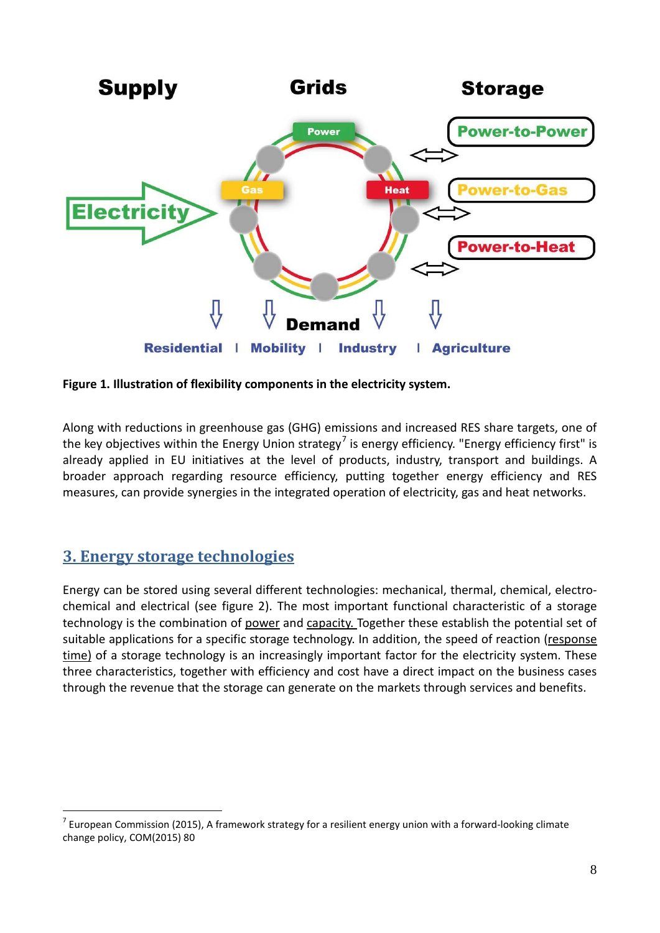

**Figure 1. Illustration of flexibility components in the electricity system.** 

Along with reductions in greenhouse gas (GHG) emissions and increased RES share targets, one of the key objectives within the Energy Union strategy<sup>[7](#page-7-0)</sup> is energy efficiency. "Energy efficiency first" is already applied in EU initiatives at the level of products, industry, transport and buildings. A broader approach regarding resource efficiency, putting together energy efficiency and RES measures, can provide synergies in the integrated operation of electricity, gas and heat networks.

# **3. Energy storage technologies**

Energy can be stored using several different technologies: mechanical, thermal, chemical, electrochemical and electrical (see figure 2). The most important functional characteristic of a storage technology is the combination of power and capacity. Together these establish the potential set of suitable applications for a specific storage technology. In addition, the speed of reaction (response time) of a storage technology is an increasingly important factor for the electricity system. These three characteristics, together with efficiency and cost have a direct impact on the business cases through the revenue that the storage can generate on the markets through services and benefits.

<span id="page-7-0"></span> $7$  European Commission (2015), A framework strategy for a resilient energy union with a forward-looking climate change policy, COM(2015) 80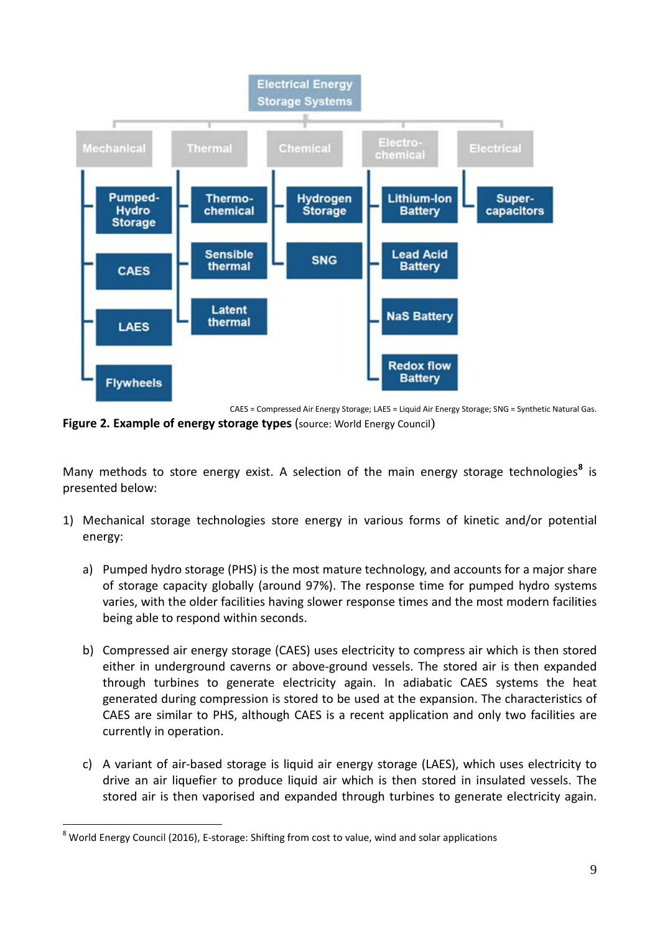

CAES = Compressed Air Energy Storage; LAES = Liquid Air Energy Storage; SNG = Synthetic Natural Gas. **Figure 2. Example of energy storage types** (source: World Energy Council)

Many methods to store energy exist. A selection of the main energy storage technologies**[8](#page-8-0)** is presented below:

- 1) Mechanical storage technologies store energy in various forms of kinetic and/or potential energy:
	- a) Pumped hydro storage (PHS) is the most mature technology, and accounts for a major share of storage capacity globally (around 97%). The response time for pumped hydro systems varies, with the older facilities having slower response times and the most modern facilities being able to respond within seconds.
	- b) Compressed air energy storage (CAES) uses electricity to compress air which is then stored either in underground caverns or above-ground vessels. The stored air is then expanded through turbines to generate electricity again. In adiabatic CAES systems the heat generated during compression is stored to be used at the expansion. The characteristics of CAES are similar to PHS, although CAES is a recent application and only two facilities are currently in operation.
	- c) A variant of air-based storage is liquid air energy storage (LAES), which uses electricity to drive an air liquefier to produce liquid air which is then stored in insulated vessels. The stored air is then vaporised and expanded through turbines to generate electricity again.

<span id="page-8-0"></span><sup>&</sup>lt;sup>8</sup> World Energy Council (2016), E-storage: Shifting from cost to value, wind and solar applications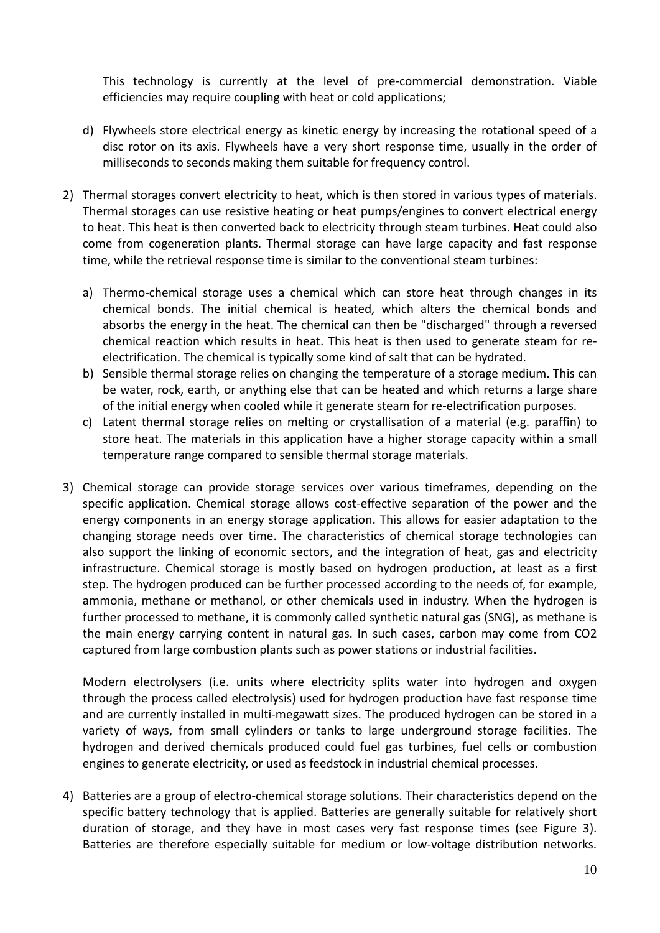This technology is currently at the level of pre-commercial demonstration. Viable efficiencies may require coupling with heat or cold applications;

- d) Flywheels store electrical energy as kinetic energy by increasing the rotational speed of a disc rotor on its axis. Flywheels have a very short response time, usually in the order of milliseconds to seconds making them suitable for frequency control.
- 2) Thermal storages convert electricity to heat, which is then stored in various types of materials. Thermal storages can use resistive heating or heat pumps/engines to convert electrical energy to heat. This heat is then converted back to electricity through steam turbines. Heat could also come from cogeneration plants. Thermal storage can have large capacity and fast response time, while the retrieval response time is similar to the conventional steam turbines:
	- a) Thermo-chemical storage uses a chemical which can store heat through changes in its chemical bonds. The initial chemical is heated, which alters the chemical bonds and absorbs the energy in the heat. The chemical can then be "discharged" through a reversed chemical reaction which results in heat. This heat is then used to generate steam for reelectrification. The chemical is typically some kind of salt that can be hydrated.
	- b) Sensible thermal storage relies on changing the temperature of a storage medium. This can be water, rock, earth, or anything else that can be heated and which returns a large share of the initial energy when cooled while it generate steam for re-electrification purposes.
	- c) Latent thermal storage relies on melting or crystallisation of a material (e.g. paraffin) to store heat. The materials in this application have a higher storage capacity within a small temperature range compared to sensible thermal storage materials.
- 3) Chemical storage can provide storage services over various timeframes, depending on the specific application. Chemical storage allows cost-effective separation of the power and the energy components in an energy storage application. This allows for easier adaptation to the changing storage needs over time. The characteristics of chemical storage technologies can also support the linking of economic sectors, and the integration of heat, gas and electricity infrastructure. Chemical storage is mostly based on hydrogen production, at least as a first step. The hydrogen produced can be further processed according to the needs of, for example, ammonia, methane or methanol, or other chemicals used in industry. When the hydrogen is further processed to methane, it is commonly called synthetic natural gas (SNG), as methane is the main energy carrying content in natural gas. In such cases, carbon may come from CO2 captured from large combustion plants such as power stations or industrial facilities.

Modern electrolysers (i.e. units where electricity splits water into hydrogen and oxygen through the process called electrolysis) used for hydrogen production have fast response time and are currently installed in multi-megawatt sizes. The produced hydrogen can be stored in a variety of ways, from small cylinders or tanks to large underground storage facilities. The hydrogen and derived chemicals produced could fuel gas turbines, fuel cells or combustion engines to generate electricity, or used as feedstock in industrial chemical processes.

4) Batteries are a group of electro-chemical storage solutions. Their characteristics depend on the specific battery technology that is applied. Batteries are generally suitable for relatively short duration of storage, and they have in most cases very fast response times (see Figure 3). Batteries are therefore especially suitable for medium or low-voltage distribution networks.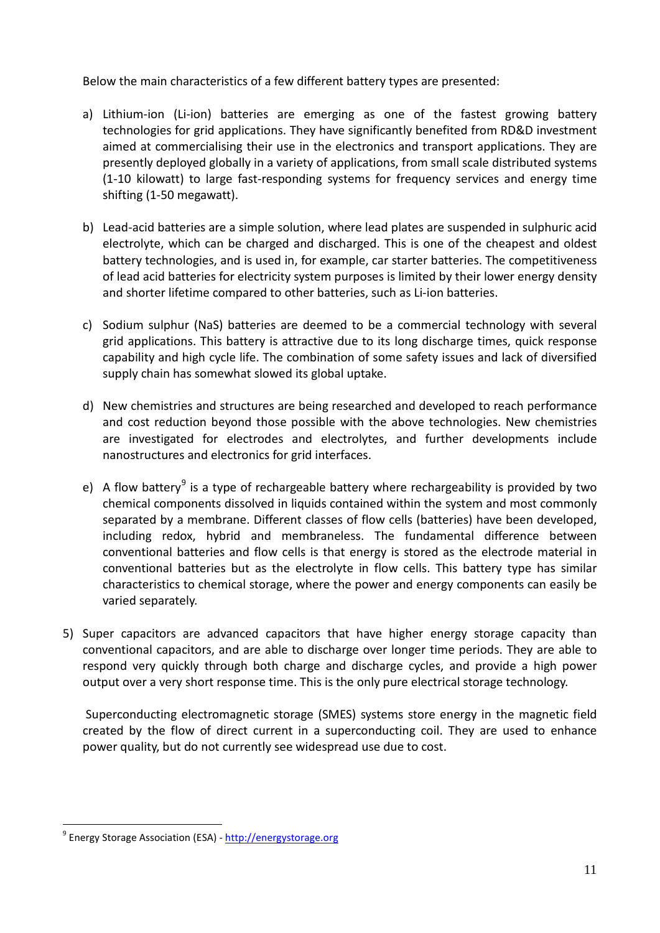Below the main characteristics of a few different battery types are presented:

- a) Lithium-ion (Li-ion) batteries are emerging as one of the fastest growing battery technologies for grid applications. They have significantly benefited from RD&D investment aimed at commercialising their use in the electronics and transport applications. They are presently deployed globally in a variety of applications, from small scale distributed systems (1-10 kilowatt) to large fast-responding systems for frequency services and energy time shifting (1-50 megawatt).
- b) Lead-acid batteries are a simple solution, where lead plates are suspended in sulphuric acid electrolyte, which can be charged and discharged. This is one of the cheapest and oldest battery technologies, and is used in, for example, car starter batteries. The competitiveness of lead acid batteries for electricity system purposes is limited by their lower energy density and shorter lifetime compared to other batteries, such as Li-ion batteries.
- c) Sodium sulphur (NaS) batteries are deemed to be a commercial technology with several grid applications. This battery is attractive due to its long discharge times, quick response capability and high cycle life. The combination of some safety issues and lack of diversified supply chain has somewhat slowed its global uptake.
- d) New chemistries and structures are being researched and developed to reach performance and cost reduction beyond those possible with the above technologies. New chemistries are investigated for electrodes and electrolytes, and further developments include nanostructures and electronics for grid interfaces.
- e) A flow battery<sup>[9](#page-10-0)</sup> is a type of rechargeable battery where rechargeability is provided by two chemical components dissolved in liquids contained within the system and most commonly separated by a membrane. Different classes of flow cells (batteries) have been developed, including redox, hybrid and membraneless. The fundamental difference between conventional batteries and flow cells is that energy is stored as the electrode material in conventional batteries but as the electrolyte in flow cells. This battery type has similar characteristics to chemical storage, where the power and energy components can easily be varied separately.
- 5) Super capacitors are advanced capacitors that have higher energy storage capacity than conventional capacitors, and are able to discharge over longer time periods. They are able to respond very quickly through both charge and discharge cycles, and provide a high power output over a very short response time. This is the only pure electrical storage technology.

Superconducting electromagnetic storage (SMES) systems store energy in the magnetic field created by the flow of direct current in a superconducting coil. They are used to enhance power quality, but do not currently see widespread use due to cost.

<span id="page-10-0"></span><sup>&</sup>lt;sup>9</sup> Energy Storage Association (ESA) - [http://energystorage.org](http://energystorage.org/)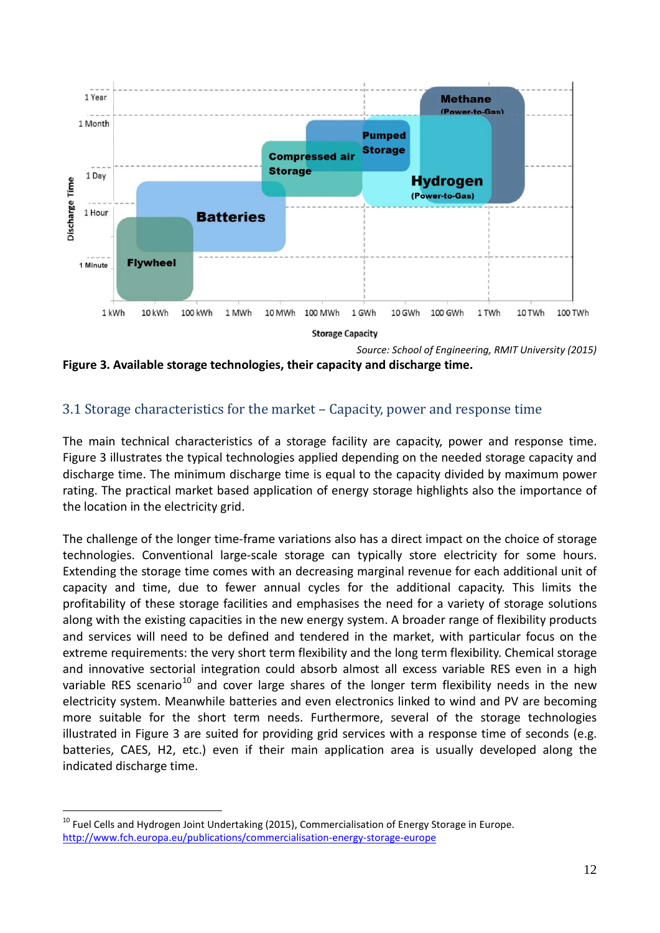

**Figure 3. Available storage technologies, their capacity and discharge time.**

#### 3.1 Storage characteristics for the market – Capacity, power and response time

The main technical characteristics of a storage facility are capacity, power and response time. Figure 3 illustrates the typical technologies applied depending on the needed storage capacity and discharge time. The minimum discharge time is equal to the capacity divided by maximum power rating. The practical market based application of energy storage highlights also the importance of the location in the electricity grid.

The challenge of the longer time-frame variations also has a direct impact on the choice of storage technologies. Conventional large-scale storage can typically store electricity for some hours. Extending the storage time comes with an decreasing marginal revenue for each additional unit of capacity and time, due to fewer annual cycles for the additional capacity. This limits the profitability of these storage facilities and emphasises the need for a variety of storage solutions along with the existing capacities in the new energy system. A broader range of flexibility products and services will need to be defined and tendered in the market, with particular focus on the extreme requirements: the very short term flexibility and the long term flexibility. Chemical storage and innovative sectorial integration could absorb almost all excess variable RES even in a high variable RES scenario<sup>[10](#page-11-0)</sup> and cover large shares of the longer term flexibility needs in the new electricity system. Meanwhile batteries and even electronics linked to wind and PV are becoming more suitable for the short term needs. Furthermore, several of the storage technologies illustrated in Figure 3 are suited for providing grid services with a response time of seconds (e.g. batteries, CAES, H2, etc.) even if their main application area is usually developed along the indicated discharge time.

<span id="page-11-0"></span><sup>&</sup>lt;sup>10</sup> Fuel Cells and Hydrogen Joint Undertaking (2015), Commercialisation of Energy Storage in Europe. <http://www.fch.europa.eu/publications/commercialisation-energy-storage-europe>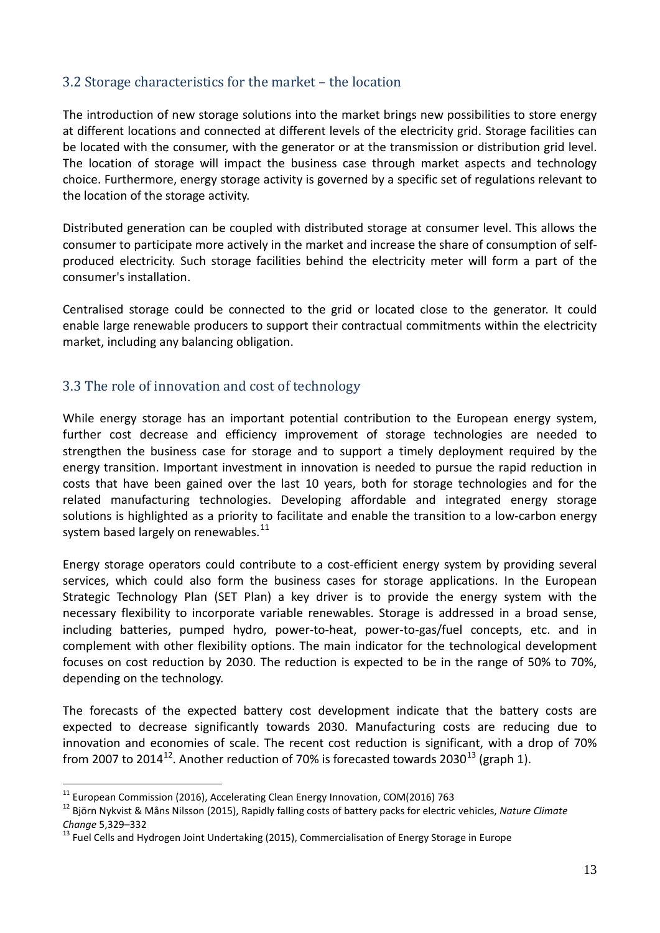#### 3.2 Storage characteristics for the market – the location

The introduction of new storage solutions into the market brings new possibilities to store energy at different locations and connected at different levels of the electricity grid. Storage facilities can be located with the consumer, with the generator or at the transmission or distribution grid level. The location of storage will impact the business case through market aspects and technology choice. Furthermore, energy storage activity is governed by a specific set of regulations relevant to the location of the storage activity.

Distributed generation can be coupled with distributed storage at consumer level. This allows the consumer to participate more actively in the market and increase the share of consumption of selfproduced electricity. Such storage facilities behind the electricity meter will form a part of the consumer's installation.

Centralised storage could be connected to the grid or located close to the generator. It could enable large renewable producers to support their contractual commitments within the electricity market, including any balancing obligation.

#### 3.3 The role of innovation and cost of technology

While energy storage has an important potential contribution to the European energy system, further cost decrease and efficiency improvement of storage technologies are needed to strengthen the business case for storage and to support a timely deployment required by the energy transition. Important investment in innovation is needed to pursue the rapid reduction in costs that have been gained over the last 10 years, both for storage technologies and for the related manufacturing technologies. Developing affordable and integrated energy storage solutions is highlighted as a priority to facilitate and enable the transition to a low-carbon energy system based largely on renewables.<sup>[11](#page-12-0)</sup>

Energy storage operators could contribute to a cost-efficient energy system by providing several services, which could also form the business cases for storage applications. In the European Strategic Technology Plan (SET Plan) a key driver is to provide the energy system with the necessary flexibility to incorporate variable renewables. Storage is addressed in a broad sense, including batteries, pumped hydro, power-to-heat, power-to-gas/fuel concepts, etc. and in complement with other flexibility options. The main indicator for the technological development focuses on cost reduction by 2030. The reduction is expected to be in the range of 50% to 70%, depending on the technology.

The forecasts of the expected battery cost development indicate that the battery costs are expected to decrease significantly towards 2030. Manufacturing costs are reducing due to innovation and economies of scale. The recent cost reduction is significant, with a drop of 70% from 2007 to 2014<sup>12</sup>. Another reduction of 70% is forecasted towards 2030<sup>[13](#page-12-2)</sup> (graph 1).

<span id="page-12-0"></span><sup>&</sup>lt;sup>11</sup> European Commission (2016), Accelerating Clean Energy Innovation, COM(2016) 763<br><sup>12</sup> [Björn Nykvist](http://www.nature.com/nclimate/journal/v5/n4/abs/nclimate2564.html#auth-1) [& Måns Nilsson](http://www.nature.com/nclimate/journal/v5/n4/abs/nclimate2564.html#auth-2) (2015), Rapidly falling costs of battery packs for electric vehicles, *Nature Climate* 

<span id="page-12-2"></span><span id="page-12-1"></span>*Change* 5,329–332<br><sup>13</sup> Fuel Cells and Hydrogen Joint Undertaking (2015), Commercialisation of Energy Storage in Europe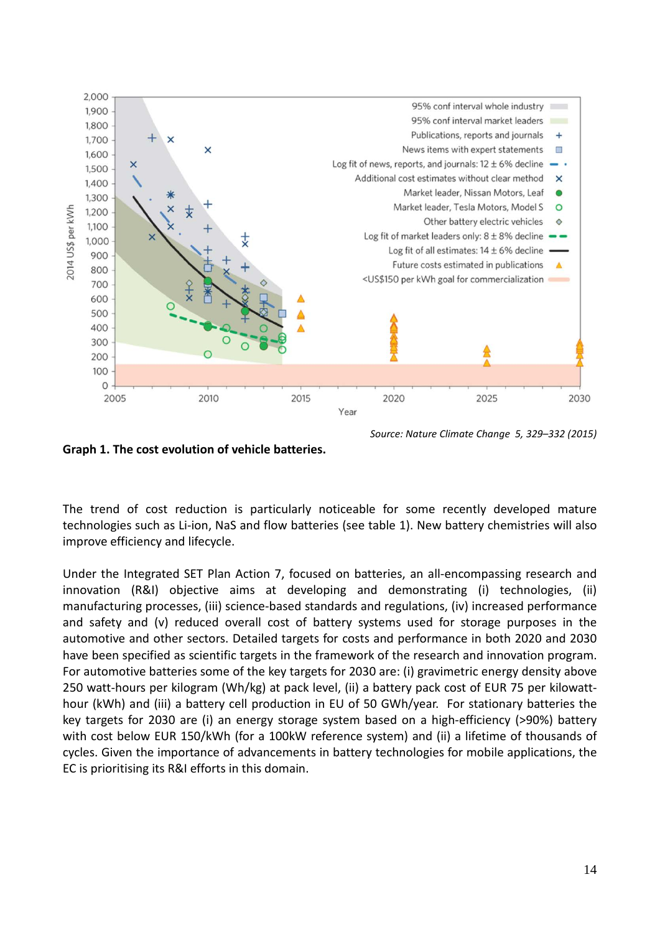

*Source: Nature Climate Change 5, 329–332 (2015)* 

**Graph 1. The cost evolution of vehicle batteries.**

The trend of cost reduction is particularly noticeable for some recently developed mature technologies such as Li-ion, NaS and flow batteries (see table 1). New battery chemistries will also improve efficiency and lifecycle.

Under the Integrated SET Plan Action 7, focused on batteries, an all-encompassing research and innovation (R&I) objective aims at developing and demonstrating (i) technologies, (ii) manufacturing processes, (iii) science-based standards and regulations, (iv) increased performance and safety and (v) reduced overall cost of battery systems used for storage purposes in the automotive and other sectors. Detailed targets for costs and performance in both 2020 and 2030 have been specified as scientific targets in the framework of the research and innovation program. For automotive batteries some of the key targets for 2030 are: (i) gravimetric energy density above 250 watt-hours per kilogram (Wh/kg) at pack level, (ii) a battery pack cost of EUR 75 per kilowatthour (kWh) and (iii) a battery cell production in EU of 50 GWh/year. For stationary batteries the key targets for 2030 are (i) an energy storage system based on a high-efficiency (>90%) battery with cost below EUR 150/kWh (for a 100kW reference system) and (ii) a lifetime of thousands of cycles. Given the importance of advancements in battery technologies for mobile applications, the EC is prioritising its R&I efforts in this domain.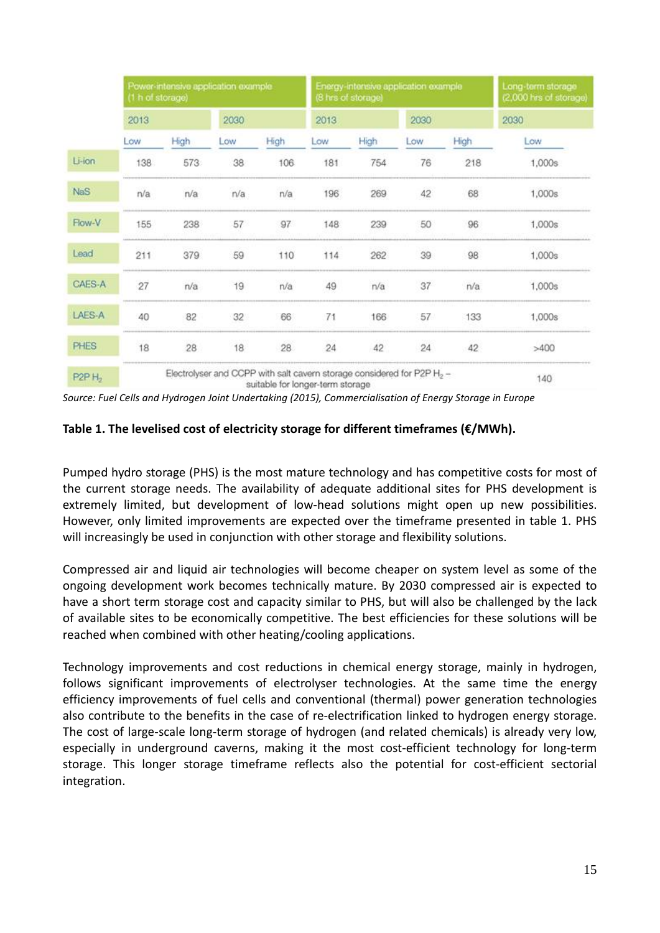|                  | Power-intensive application example<br>(1 h of storage) |      |      |      | Energy-intensive application example<br>(8 hrs of storage) |      |      |      | Long-term storage<br>(2,000 hrs of storage) |
|------------------|---------------------------------------------------------|------|------|------|------------------------------------------------------------|------|------|------|---------------------------------------------|
|                  | 2013                                                    |      | 2030 |      | 2013                                                       |      | 2030 |      | 2030                                        |
|                  | Low                                                     | High | Low  | High | Low                                                        | High | Low  | High | Low                                         |
| Li-ion           | 138                                                     | 573  | 38   | 106  | 181                                                        | 754  | 76   | 218  | 1,000s                                      |
| <b>NaS</b>       | r/a                                                     | n/a  | n/a  | n/a  | 196                                                        | 269  | 42   | 68   | 1,000s                                      |
| Flow-V           | 155                                                     | 238  | 57   | 97   | 148                                                        | 239  | 50   | 96   | 1,000s                                      |
| Lead             | 211                                                     | 379  | 59   | 110  | 114                                                        | 262  | 39   | 98   | 1,000s                                      |
| CAES-A           | 27                                                      | n/a  | 19   | n/a  | 49                                                         | n/a  | 37   | n/a  | 1,000s                                      |
| LAES-A           | 40                                                      | 82   | 32   | 66   | 71                                                         | 166  | 57   | 133  | 1,000s                                      |
| <b>PHES</b>      | 18                                                      | 28   | 18   | 28   | 24                                                         | 42   | 24   | 42   | >400                                        |
| P <sub>2PH</sub> |                                                         | 140  |      |      |                                                            |      |      |      |                                             |

*Source: Fuel Cells and Hydrogen Joint Undertaking (2015), Commercialisation of Energy Storage in Europe*

#### **Table 1. The levelised cost of electricity storage for different timeframes (€/MWh).**

Pumped hydro storage (PHS) is the most mature technology and has competitive costs for most of the current storage needs. The availability of adequate additional sites for PHS development is extremely limited, but development of low-head solutions might open up new possibilities. However, only limited improvements are expected over the timeframe presented in table 1. PHS will increasingly be used in conjunction with other storage and flexibility solutions.

Compressed air and liquid air technologies will become cheaper on system level as some of the ongoing development work becomes technically mature. By 2030 compressed air is expected to have a short term storage cost and capacity similar to PHS, but will also be challenged by the lack of available sites to be economically competitive. The best efficiencies for these solutions will be reached when combined with other heating/cooling applications.

Technology improvements and cost reductions in chemical energy storage, mainly in hydrogen, follows significant improvements of electrolyser technologies. At the same time the energy efficiency improvements of fuel cells and conventional (thermal) power generation technologies also contribute to the benefits in the case of re-electrification linked to hydrogen energy storage. The cost of large-scale long-term storage of hydrogen (and related chemicals) is already very low, especially in underground caverns, making it the most cost-efficient technology for long-term storage. This longer storage timeframe reflects also the potential for cost-efficient sectorial integration.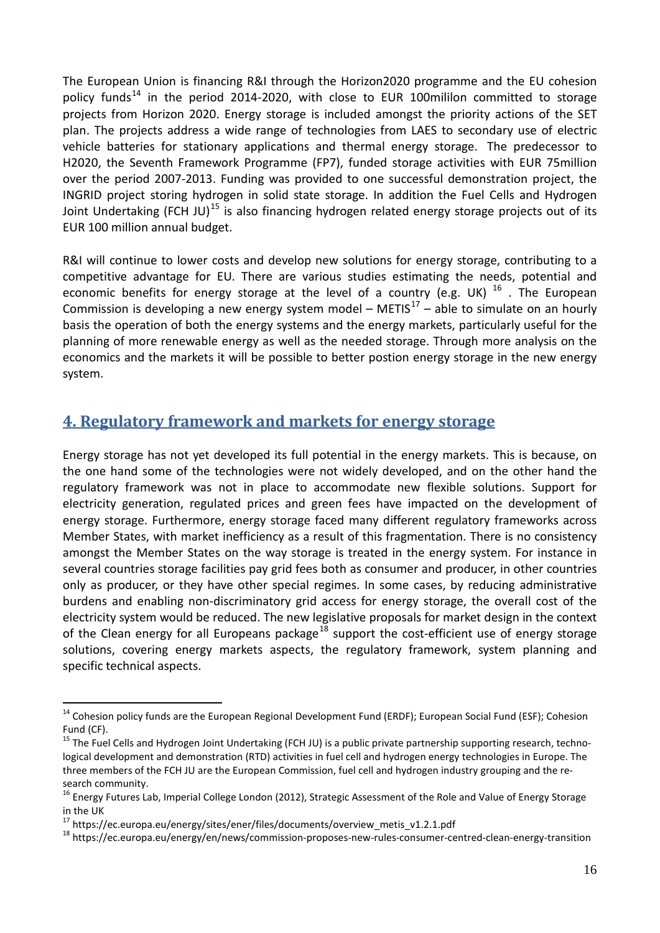The European Union is financing R&I through the Horizon2020 programme and the EU cohesion policy funds<sup>[14](#page-15-0)</sup> in the period 2014-2020, with close to EUR 100mililon committed to storage projects from Horizon 2020. Energy storage is included amongst the priority actions of the SET plan. The projects address a wide range of technologies from LAES to secondary use of electric vehicle batteries for stationary applications and thermal energy storage. The predecessor to H2020, the Seventh Framework Programme (FP7), funded storage activities with EUR 75million over the period 2007-2013. Funding was provided to one successful demonstration project, the INGRID project storing hydrogen in solid state storage. In addition the Fuel Cells and Hydrogen Joint Undertaking (FCH JU)<sup>[15](#page-15-1)</sup> is also financing hydrogen related energy storage projects out of its EUR 100 million annual budget.

R&I will continue to lower costs and develop new solutions for energy storage, contributing to a competitive advantage for EU. There are various studies estimating the needs, potential and economic benefits for energy storage at the level of a country (e.g. UK)  $^{16}$  $^{16}$  $^{16}$  . The European Commission is developing a new energy system model – METIS<sup>[17](#page-15-3)</sup> – able to simulate on an hourly basis the operation of both the energy systems and the energy markets, particularly useful for the planning of more renewable energy as well as the needed storage. Through more analysis on the economics and the markets it will be possible to better postion energy storage in the new energy system.

# **4. Regulatory framework and markets for energy storage**

Energy storage has not yet developed its full potential in the energy markets. This is because, on the one hand some of the technologies were not widely developed, and on the other hand the regulatory framework was not in place to accommodate new flexible solutions. Support for electricity generation, regulated prices and green fees have impacted on the development of energy storage. Furthermore, energy storage faced many different regulatory frameworks across Member States, with market inefficiency as a result of this fragmentation. There is no consistency amongst the Member States on the way storage is treated in the energy system. For instance in several countries storage facilities pay grid fees both as consumer and producer, in other countries only as producer, or they have other special regimes. In some cases, by reducing administrative burdens and enabling non-discriminatory grid access for energy storage, the overall cost of the electricity system would be reduced. The new legislative proposals for market design in the context of the Clean energy for all Europeans package<sup>[18](#page-15-4)</sup> support the cost-efficient use of energy storage solutions, covering energy markets aspects, the regulatory framework, system planning and specific technical aspects.

<span id="page-15-0"></span><sup>&</sup>lt;sup>14</sup> Cohesion policy funds are the European Regional Development Fund (ERDF); European Social Fund (ESF); Cohesion Fund (CF).

<span id="page-15-1"></span><sup>&</sup>lt;sup>15</sup> The Fuel Cells and Hydrogen Joint Undertaking (FCH JU) is a public private partnership supporting research, technological development and demonstration (RTD) activities in fuel cell and hydrogen energy technologies in Europe. The three members of the FCH JU are the European Commission, fuel cell and hydrogen industry grouping and the research community.<br><sup>16</sup> Energy Futures Lab, Imperial College London (2012), Strategic Assessment of the Role and Value of Energy Storage

<span id="page-15-2"></span>in the UK<br><sup>17</sup> https://ec.europa.eu/energy/sites/ener/files/documents/overview\_metis\_v1.2.1.pdf

<span id="page-15-3"></span>

<span id="page-15-4"></span><sup>&</sup>lt;sup>18</sup> https://ec.europa.eu/energy/en/news/commission-proposes-new-rules-consumer-centred-clean-energy-transition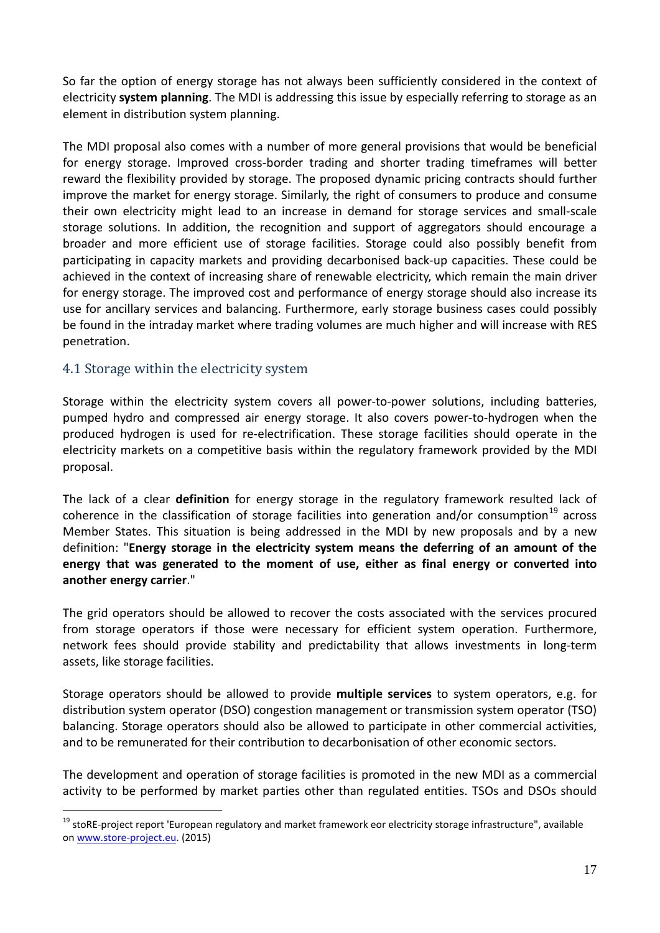So far the option of energy storage has not always been sufficiently considered in the context of electricity **system planning**. The MDI is addressing this issue by especially referring to storage as an element in distribution system planning.

The MDI proposal also comes with a number of more general provisions that would be beneficial for energy storage. Improved cross-border trading and shorter trading timeframes will better reward the flexibility provided by storage. The proposed dynamic pricing contracts should further improve the market for energy storage. Similarly, the right of consumers to produce and consume their own electricity might lead to an increase in demand for storage services and small-scale storage solutions. In addition, the recognition and support of aggregators should encourage a broader and more efficient use of storage facilities. Storage could also possibly benefit from participating in capacity markets and providing decarbonised back-up capacities. These could be achieved in the context of increasing share of renewable electricity, which remain the main driver for energy storage. The improved cost and performance of energy storage should also increase its use for ancillary services and balancing. Furthermore, early storage business cases could possibly be found in the intraday market where trading volumes are much higher and will increase with RES penetration.

#### 4.1 Storage within the electricity system

Storage within the electricity system covers all power-to-power solutions, including batteries, pumped hydro and compressed air energy storage. It also covers power-to-hydrogen when the produced hydrogen is used for re-electrification. These storage facilities should operate in the electricity markets on a competitive basis within the regulatory framework provided by the MDI proposal.

The lack of a clear **definition** for energy storage in the regulatory framework resulted lack of coherence in the classification of storage facilities into generation and/or consumption<sup>[19](#page-16-0)</sup> across Member States. This situation is being addressed in the MDI by new proposals and by a new definition: "**Energy storage in the electricity system means the deferring of an amount of the energy that was generated to the moment of use, either as final energy or converted into another energy carrier**."

The grid operators should be allowed to recover the costs associated with the services procured from storage operators if those were necessary for efficient system operation. Furthermore, network fees should provide stability and predictability that allows investments in long-term assets, like storage facilities.

Storage operators should be allowed to provide **multiple services** to system operators, e.g. for distribution system operator (DSO) congestion management or transmission system operator (TSO) balancing. Storage operators should also be allowed to participate in other commercial activities, and to be remunerated for their contribution to decarbonisation of other economic sectors.

The development and operation of storage facilities is promoted in the new MDI as a commercial activity to be performed by market parties other than regulated entities. TSOs and DSOs should

<span id="page-16-0"></span><sup>&</sup>lt;sup>19</sup> stoRE-project report 'European regulatory and market framework eor electricity storage infrastructure", available o[n www.store-project.eu.](http://www.store-project.eu/) (2015)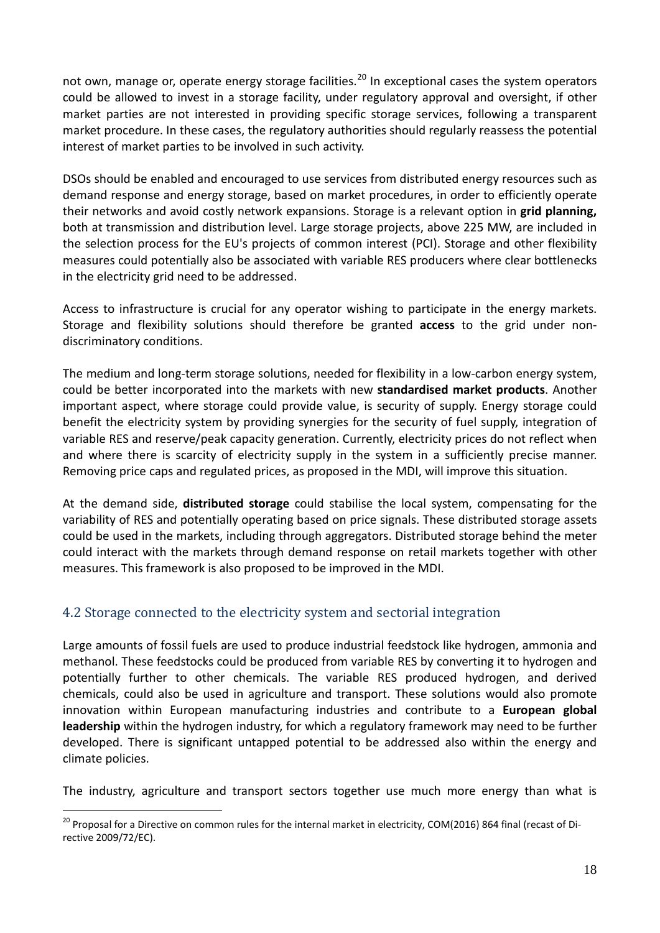not own, manage or, operate energy storage facilities.<sup>[20](#page-17-0)</sup> In exceptional cases the system operators could be allowed to invest in a storage facility, under regulatory approval and oversight, if other market parties are not interested in providing specific storage services, following a transparent market procedure. In these cases, the regulatory authorities should regularly reassess the potential interest of market parties to be involved in such activity.

DSOs should be enabled and encouraged to use services from distributed energy resources such as demand response and energy storage, based on market procedures, in order to efficiently operate their networks and avoid costly network expansions. Storage is a relevant option in **grid planning,** both at transmission and distribution level. Large storage projects, above 225 MW, are included in the selection process for the EU's projects of common interest (PCI). Storage and other flexibility measures could potentially also be associated with variable RES producers where clear bottlenecks in the electricity grid need to be addressed.

Access to infrastructure is crucial for any operator wishing to participate in the energy markets. Storage and flexibility solutions should therefore be granted **access** to the grid under nondiscriminatory conditions.

The medium and long-term storage solutions, needed for flexibility in a low-carbon energy system, could be better incorporated into the markets with new **standardised market products**. Another important aspect, where storage could provide value, is security of supply. Energy storage could benefit the electricity system by providing synergies for the security of fuel supply, integration of variable RES and reserve/peak capacity generation. Currently, electricity prices do not reflect when and where there is scarcity of electricity supply in the system in a sufficiently precise manner. Removing price caps and regulated prices, as proposed in the MDI, will improve this situation.

At the demand side, **distributed storage** could stabilise the local system, compensating for the variability of RES and potentially operating based on price signals. These distributed storage assets could be used in the markets, including through aggregators. Distributed storage behind the meter could interact with the markets through demand response on retail markets together with other measures. This framework is also proposed to be improved in the MDI.

#### 4.2 Storage connected to the electricity system and sectorial integration

Large amounts of fossil fuels are used to produce industrial feedstock like hydrogen, ammonia and methanol. These feedstocks could be produced from variable RES by converting it to hydrogen and potentially further to other chemicals. The variable RES produced hydrogen, and derived chemicals, could also be used in agriculture and transport. These solutions would also promote innovation within European manufacturing industries and contribute to a **European global leadership** within the hydrogen industry, for which a regulatory framework may need to be further developed. There is significant untapped potential to be addressed also within the energy and climate policies.

The industry, agriculture and transport sectors together use much more energy than what is

<span id="page-17-0"></span><sup>&</sup>lt;sup>20</sup> Proposal for a Directive on common rules for the internal market in electricity, COM(2016) 864 final (recast of Directive 2009/72/EC).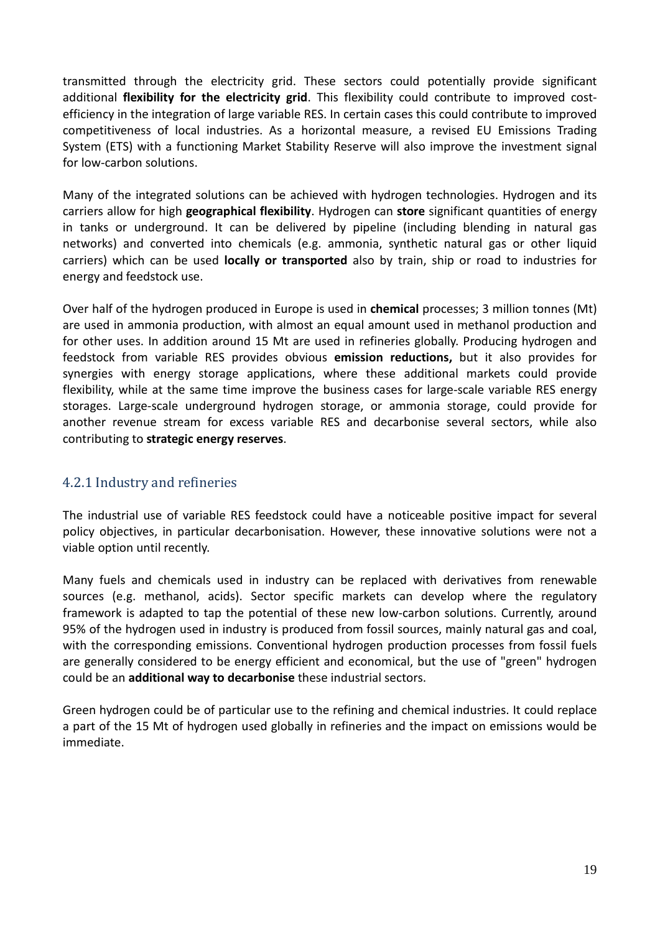transmitted through the electricity grid. These sectors could potentially provide significant additional **flexibility for the electricity grid**. This flexibility could contribute to improved costefficiency in the integration of large variable RES. In certain cases this could contribute to improved competitiveness of local industries. As a horizontal measure, a revised EU Emissions Trading System (ETS) with a functioning Market Stability Reserve will also improve the investment signal for low-carbon solutions.

Many of the integrated solutions can be achieved with hydrogen technologies. Hydrogen and its carriers allow for high **geographical flexibility**. Hydrogen can **store** significant quantities of energy in tanks or underground. It can be delivered by pipeline (including blending in natural gas networks) and converted into chemicals (e.g. ammonia, synthetic natural gas or other liquid carriers) which can be used **locally or transported** also by train, ship or road to industries for energy and feedstock use.

Over half of the hydrogen produced in Europe is used in **chemical** processes; 3 million tonnes (Mt) are used in ammonia production, with almost an equal amount used in methanol production and for other uses. In addition around 15 Mt are used in refineries globally. Producing hydrogen and feedstock from variable RES provides obvious **emission reductions,** but it also provides for synergies with energy storage applications, where these additional markets could provide flexibility, while at the same time improve the business cases for large-scale variable RES energy storages. Large-scale underground hydrogen storage, or ammonia storage, could provide for another revenue stream for excess variable RES and decarbonise several sectors, while also contributing to **strategic energy reserves**.

# 4.2.1 Industry and refineries

The industrial use of variable RES feedstock could have a noticeable positive impact for several policy objectives, in particular decarbonisation. However, these innovative solutions were not a viable option until recently.

Many fuels and chemicals used in industry can be replaced with derivatives from renewable sources (e.g. methanol, acids). Sector specific markets can develop where the regulatory framework is adapted to tap the potential of these new low-carbon solutions. Currently, around 95% of the hydrogen used in industry is produced from fossil sources, mainly natural gas and coal, with the corresponding emissions. Conventional hydrogen production processes from fossil fuels are generally considered to be energy efficient and economical, but the use of "green" hydrogen could be an **additional way to decarbonise** these industrial sectors.

Green hydrogen could be of particular use to the refining and chemical industries. It could replace a part of the 15 Mt of hydrogen used globally in refineries and the impact on emissions would be immediate.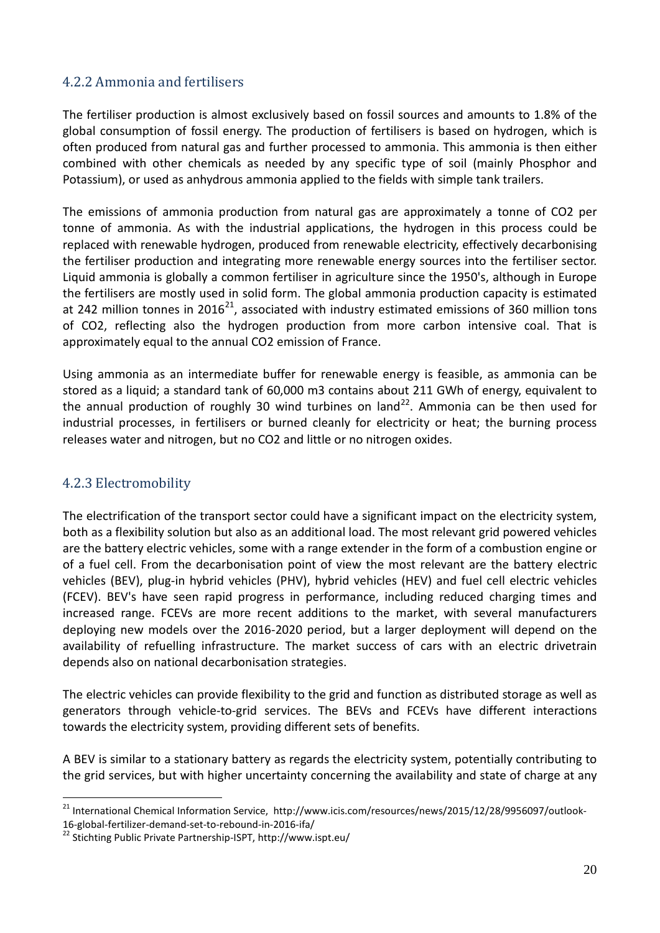### 4.2.2 Ammonia and fertilisers

The fertiliser production is almost exclusively based on fossil sources and amounts to 1.8% of the global consumption of fossil energy. The production of fertilisers is based on hydrogen, which is often produced from natural gas and further processed to ammonia. This ammonia is then either combined with other chemicals as needed by any specific type of soil (mainly Phosphor and Potassium), or used as anhydrous ammonia applied to the fields with simple tank trailers.

The emissions of ammonia production from natural gas are approximately a tonne of CO2 per tonne of ammonia. As with the industrial applications, the hydrogen in this process could be replaced with renewable hydrogen, produced from renewable electricity, effectively decarbonising the fertiliser production and integrating more renewable energy sources into the fertiliser sector. Liquid ammonia is globally a common fertiliser in agriculture since the 1950's, although in Europe the fertilisers are mostly used in solid form. The global ammonia production capacity is estimated at 242 million tonnes in 2016<sup>[21](#page-19-0)</sup>, associated with industry estimated emissions of 360 million tons of CO2, reflecting also the hydrogen production from more carbon intensive coal. That is approximately equal to the annual CO2 emission of France.

Using ammonia as an intermediate buffer for renewable energy is feasible, as ammonia can be stored as a liquid; a standard tank of 60,000 m3 contains about 211 GWh of energy, equivalent to the annual production of roughly 30 wind turbines on land<sup>22</sup>. Ammonia can be then used for industrial processes, in fertilisers or burned cleanly for electricity or heat; the burning process releases water and nitrogen, but no CO2 and little or no nitrogen oxides.

#### 4.2.3 Electromobility

The electrification of the transport sector could have a significant impact on the electricity system, both as a flexibility solution but also as an additional load. The most relevant grid powered vehicles are the battery electric vehicles, some with a range extender in the form of a combustion engine or of a fuel cell. From the decarbonisation point of view the most relevant are the battery electric vehicles (BEV), plug-in hybrid vehicles (PHV), hybrid vehicles (HEV) and fuel cell electric vehicles (FCEV). BEV's have seen rapid progress in performance, including reduced charging times and increased range. FCEVs are more recent additions to the market, with several manufacturers deploying new models over the 2016-2020 period, but a larger deployment will depend on the availability of refuelling infrastructure. The market success of cars with an electric drivetrain depends also on national decarbonisation strategies.

The electric vehicles can provide flexibility to the grid and function as distributed storage as well as generators through vehicle-to-grid services. The BEVs and FCEVs have different interactions towards the electricity system, providing different sets of benefits.

A BEV is similar to a stationary battery as regards the electricity system, potentially contributing to the grid services, but with higher uncertainty concerning the availability and state of charge at any

<span id="page-19-0"></span><sup>&</sup>lt;sup>21</sup> International Chemical Information Service, http://www.icis.com/resources/news/2015/12/28/9956097/outlook-

<span id="page-19-1"></span><sup>16-</sup>global-fertilizer-demand-set-to-rebound-in-2016-ifa/ <sup>22</sup> Stichting Public Private Partnership-ISPT, http://www.ispt.eu/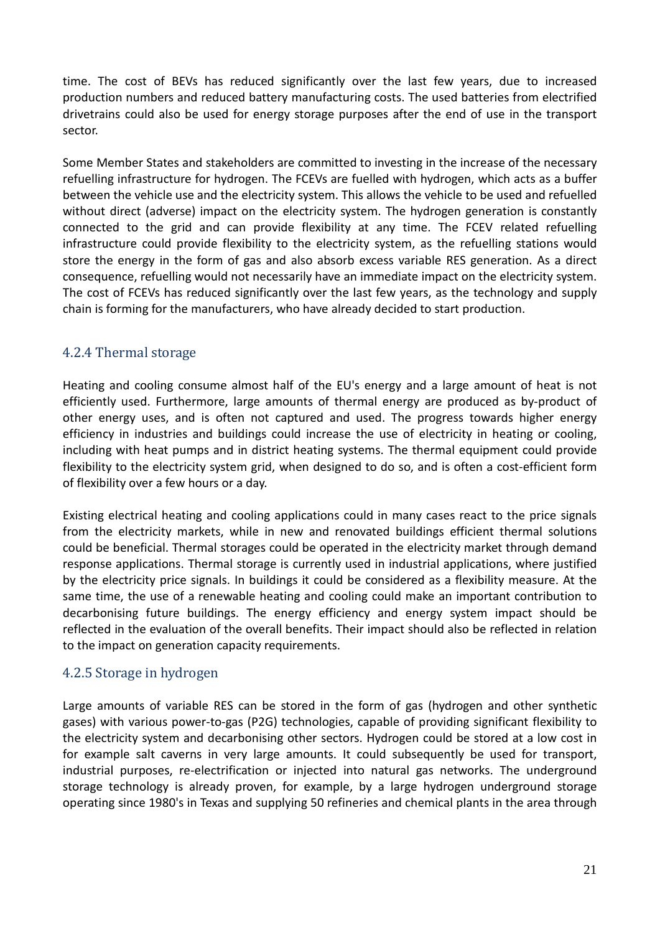time. The cost of BEVs has reduced significantly over the last few years, due to increased production numbers and reduced battery manufacturing costs. The used batteries from electrified drivetrains could also be used for energy storage purposes after the end of use in the transport sector.

Some Member States and stakeholders are committed to investing in the increase of the necessary refuelling infrastructure for hydrogen. The FCEVs are fuelled with hydrogen, which acts as a buffer between the vehicle use and the electricity system. This allows the vehicle to be used and refuelled without direct (adverse) impact on the electricity system. The hydrogen generation is constantly connected to the grid and can provide flexibility at any time. The FCEV related refuelling infrastructure could provide flexibility to the electricity system, as the refuelling stations would store the energy in the form of gas and also absorb excess variable RES generation. As a direct consequence, refuelling would not necessarily have an immediate impact on the electricity system. The cost of FCEVs has reduced significantly over the last few years, as the technology and supply chain is forming for the manufacturers, who have already decided to start production.

#### 4.2.4 Thermal storage

Heating and cooling consume almost half of the EU's energy and a large amount of heat is not efficiently used. Furthermore, large amounts of thermal energy are produced as by-product of other energy uses, and is often not captured and used. The progress towards higher energy efficiency in industries and buildings could increase the use of electricity in heating or cooling, including with heat pumps and in district heating systems. The thermal equipment could provide flexibility to the electricity system grid, when designed to do so, and is often a cost-efficient form of flexibility over a few hours or a day.

Existing electrical heating and cooling applications could in many cases react to the price signals from the electricity markets, while in new and renovated buildings efficient thermal solutions could be beneficial. Thermal storages could be operated in the electricity market through demand response applications. Thermal storage is currently used in industrial applications, where justified by the electricity price signals. In buildings it could be considered as a flexibility measure. At the same time, the use of a renewable heating and cooling could make an important contribution to decarbonising future buildings. The energy efficiency and energy system impact should be reflected in the evaluation of the overall benefits. Their impact should also be reflected in relation to the impact on generation capacity requirements.

#### 4.2.5 Storage in hydrogen

Large amounts of variable RES can be stored in the form of gas (hydrogen and other synthetic gases) with various power-to-gas (P2G) technologies, capable of providing significant flexibility to the electricity system and decarbonising other sectors. Hydrogen could be stored at a low cost in for example salt caverns in very large amounts. It could subsequently be used for transport, industrial purposes, re-electrification or injected into natural gas networks. The underground storage technology is already proven, for example, by a large hydrogen underground storage operating since 1980's in Texas and supplying 50 refineries and chemical plants in the area through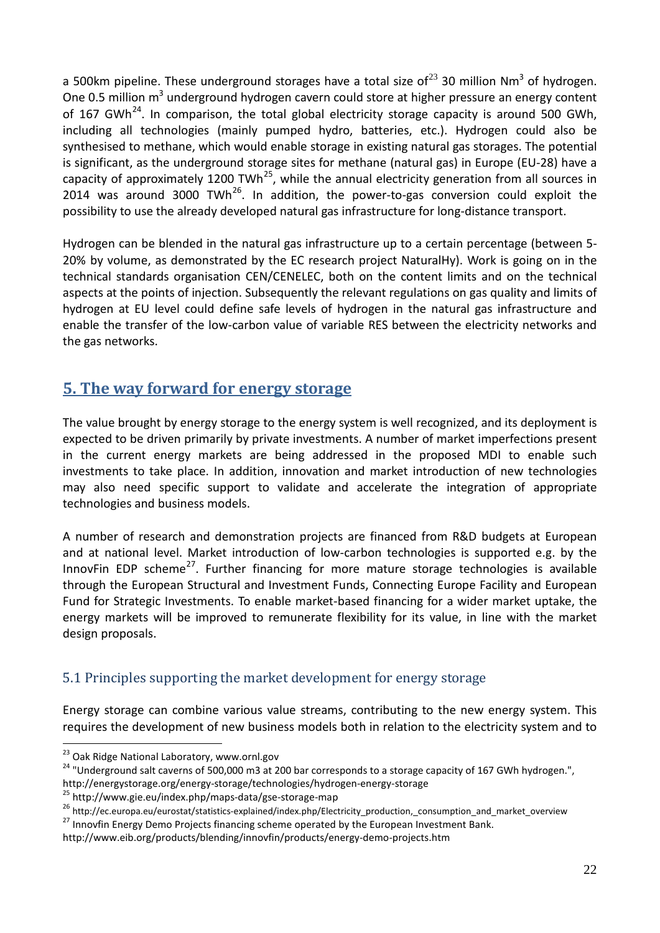a 500km pipeline. These underground storages have a total size of<sup>[23](#page-21-0)</sup> 30 million Nm<sup>3</sup> of hydrogen. One 0.5 million m<sup>3</sup> underground hydrogen cavern could store at higher pressure an energy content of 167 GWh<sup>24</sup>. In comparison, the total global electricity storage capacity is around 500 GWh, including all technologies (mainly pumped hydro, batteries, etc.). Hydrogen could also be synthesised to methane, which would enable storage in existing natural gas storages. The potential is significant, as the underground storage sites for methane (natural gas) in Europe (EU-28) have a capacity of approximately 1200 TWh<sup>[25](#page-21-2)</sup>, while the annual electricity generation from all sources in 2014 was around 3000 TWh<sup>[26](#page-21-3)</sup>. In addition, the power-to-gas conversion could exploit the possibility to use the already developed natural gas infrastructure for long-distance transport.

Hydrogen can be blended in the natural gas infrastructure up to a certain percentage (between 5- 20% by volume, as demonstrated by the EC research project NaturalHy). Work is going on in the technical standards organisation CEN/CENELEC, both on the content limits and on the technical aspects at the points of injection. Subsequently the relevant regulations on gas quality and limits of hydrogen at EU level could define safe levels of hydrogen in the natural gas infrastructure and enable the transfer of the low-carbon value of variable RES between the electricity networks and the gas networks.

# **5. The way forward for energy storage**

The value brought by energy storage to the energy system is well recognized, and its deployment is expected to be driven primarily by private investments. A number of market imperfections present in the current energy markets are being addressed in the proposed MDI to enable such investments to take place. In addition, innovation and market introduction of new technologies may also need specific support to validate and accelerate the integration of appropriate technologies and business models.

A number of research and demonstration projects are financed from R&D budgets at European and at national level. Market introduction of low-carbon technologies is supported e.g. by the InnovFin EDP scheme<sup>[27](#page-21-4)</sup>. Further financing for more mature storage technologies is available through the European Structural and Investment Funds, Connecting Europe Facility and European Fund for Strategic Investments. To enable market-based financing for a wider market uptake, the energy markets will be improved to remunerate flexibility for its value, in line with the market design proposals.

#### 5.1 Principles supporting the market development for energy storage

Energy storage can combine various value streams, contributing to the new energy system. This requires the development of new business models both in relation to the electricity system and to

<span id="page-21-0"></span><sup>&</sup>lt;sup>23</sup> Oak Ridge National Laboratory, www.ornl.gov<br><sup>24</sup> "Underground salt caverns of 500,000 m3 at 200 bar corresponds to a storage capacity of 167 GWh hydrogen.",

<span id="page-21-2"></span>

<span id="page-21-1"></span>http://energystorage.org/energy-storage/technologies/hydrogen-energy-storage<br>
<sup>25</sup> http://www.gie.eu/index.php/maps-data/gse-storage-map<br>
<sup>26</sup> http://ec.europa.eu/eurostat/statistics-explained/index.php/Electricity\_product

<span id="page-21-4"></span><span id="page-21-3"></span>

http://www.eib.org/products/blending/innovfin/products/energy-demo-projects.htm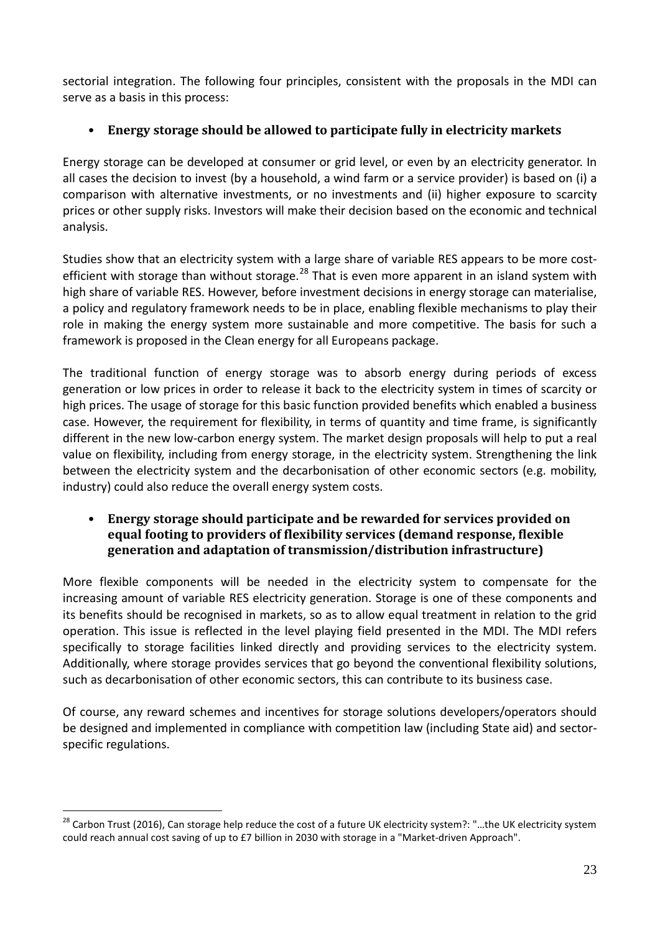sectorial integration. The following four principles, consistent with the proposals in the MDI can serve as a basis in this process:

# • **Energy storage should be allowed to participate fully in electricity markets**

Energy storage can be developed at consumer or grid level, or even by an electricity generator. In all cases the decision to invest (by a household, a wind farm or a service provider) is based on (i) a comparison with alternative investments, or no investments and (ii) higher exposure to scarcity prices or other supply risks. Investors will make their decision based on the economic and technical analysis.

Studies show that an electricity system with a large share of variable RES appears to be more cost-efficient with storage than without storage.<sup>[28](#page-22-0)</sup> That is even more apparent in an island system with high share of variable RES. However, before investment decisions in energy storage can materialise, a policy and regulatory framework needs to be in place, enabling flexible mechanisms to play their role in making the energy system more sustainable and more competitive. The basis for such a framework is proposed in the Clean energy for all Europeans package.

The traditional function of energy storage was to absorb energy during periods of excess generation or low prices in order to release it back to the electricity system in times of scarcity or high prices. The usage of storage for this basic function provided benefits which enabled a business case. However, the requirement for flexibility, in terms of quantity and time frame, is significantly different in the new low-carbon energy system. The market design proposals will help to put a real value on flexibility, including from energy storage, in the electricity system. Strengthening the link between the electricity system and the decarbonisation of other economic sectors (e.g. mobility, industry) could also reduce the overall energy system costs.

#### • **Energy storage should participate and be rewarded for services provided on equal footing to providers of flexibility services (demand response, flexible generation and adaptation of transmission/distribution infrastructure)**

More flexible components will be needed in the electricity system to compensate for the increasing amount of variable RES electricity generation. Storage is one of these components and its benefits should be recognised in markets, so as to allow equal treatment in relation to the grid operation. This issue is reflected in the level playing field presented in the MDI. The MDI refers specifically to storage facilities linked directly and providing services to the electricity system. Additionally, where storage provides services that go beyond the conventional flexibility solutions, such as decarbonisation of other economic sectors, this can contribute to its business case.

Of course, any reward schemes and incentives for storage solutions developers/operators should be designed and implemented in compliance with competition law (including State aid) and sectorspecific regulations.

<span id="page-22-0"></span><sup>&</sup>lt;sup>28</sup> Carbon Trust (2016), Can storage help reduce the cost of a future UK electricity system?: "...the UK electricity system could reach annual cost saving of up to £7 billion in 2030 with storage in a "Market-driven Approach".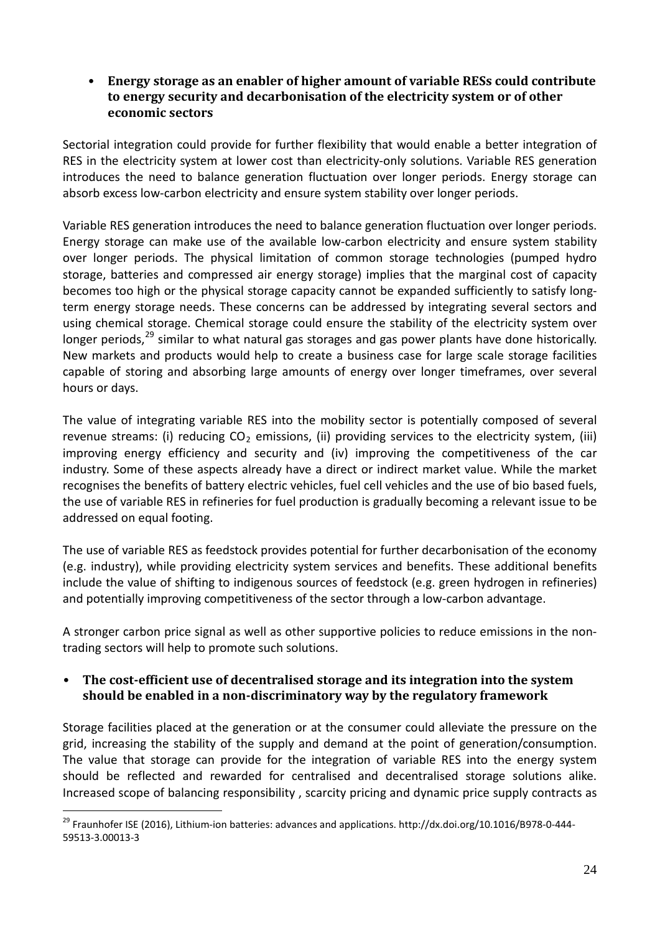• **Energy storage as an enabler of higher amount of variable RESs could contribute to energy security and decarbonisation of the electricity system or of other economic sectors**

Sectorial integration could provide for further flexibility that would enable a better integration of RES in the electricity system at lower cost than electricity-only solutions. Variable RES generation introduces the need to balance generation fluctuation over longer periods. Energy storage can absorb excess low-carbon electricity and ensure system stability over longer periods.

Variable RES generation introduces the need to balance generation fluctuation over longer periods. Energy storage can make use of the available low-carbon electricity and ensure system stability over longer periods. The physical limitation of common storage technologies (pumped hydro storage, batteries and compressed air energy storage) implies that the marginal cost of capacity becomes too high or the physical storage capacity cannot be expanded sufficiently to satisfy longterm energy storage needs. These concerns can be addressed by integrating several sectors and using chemical storage. Chemical storage could ensure the stability of the electricity system over longer periods,<sup>[29](#page-23-0)</sup> similar to what natural gas storages and gas power plants have done historically. New markets and products would help to create a business case for large scale storage facilities capable of storing and absorbing large amounts of energy over longer timeframes, over several hours or days.

The value of integrating variable RES into the mobility sector is potentially composed of several revenue streams: (i) reducing  $CO<sub>2</sub>$  emissions, (ii) providing services to the electricity system, (iii) improving energy efficiency and security and (iv) improving the competitiveness of the car industry. Some of these aspects already have a direct or indirect market value. While the market recognises the benefits of battery electric vehicles, fuel cell vehicles and the use of bio based fuels, the use of variable RES in refineries for fuel production is gradually becoming a relevant issue to be addressed on equal footing.

The use of variable RES as feedstock provides potential for further decarbonisation of the economy (e.g. industry), while providing electricity system services and benefits. These additional benefits include the value of shifting to indigenous sources of feedstock (e.g. green hydrogen in refineries) and potentially improving competitiveness of the sector through a low-carbon advantage.

A stronger carbon price signal as well as other supportive policies to reduce emissions in the nontrading sectors will help to promote such solutions.

#### • **The cost-efficient use of decentralised storage and its integration into the system should be enabled in a non-discriminatory way by the regulatory framework**

Storage facilities placed at the generation or at the consumer could alleviate the pressure on the grid, increasing the stability of the supply and demand at the point of generation/consumption. The value that storage can provide for the integration of variable RES into the energy system should be reflected and rewarded for centralised and decentralised storage solutions alike. Increased scope of balancing responsibility , scarcity pricing and dynamic price supply contracts as

<span id="page-23-0"></span><sup>&</sup>lt;sup>29</sup> Fraunhofer ISE (2016), Lithium-ion batteries: advances and applications. http://dx.doi.org/10.1016/B978-0-444-59513-3.00013-3